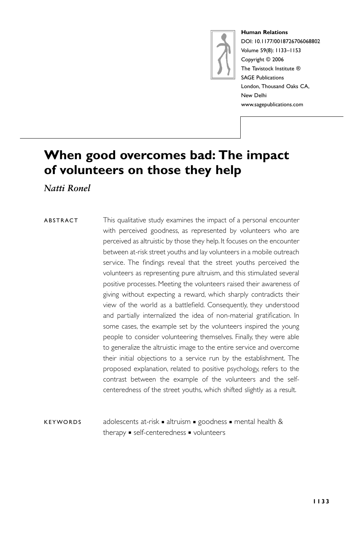

**Human Relations** DOI: 10.1177/0018726706068802 Volume 59(8): 1133–1153 Copyright © 2006 The Tavistock Institute ® SAGE Publications London, Thousand Oaks CA, New Delhi www.sagepublications.com

# **When good overcomes bad: The impact of volunteers on those they help**

*Natti Ronel*

ABSTRACT This qualitative study examines the impact of a personal encounter with perceived goodness, as represented by volunteers who are perceived as altruistic by those they help. It focuses on the encounter between at-risk street youths and lay volunteers in a mobile outreach service. The findings reveal that the street youths perceived the volunteers as representing pure altruism, and this stimulated several positive processes. Meeting the volunteers raised their awareness of giving without expecting a reward, which sharply contradicts their view of the world as a battlefield. Consequently, they understood and partially internalized the idea of non-material gratification. In some cases, the example set by the volunteers inspired the young people to consider volunteering themselves. Finally, they were able to generalize the altruistic image to the entire service and overcome their initial objections to a service run by the establishment. The proposed explanation, related to positive psychology, refers to the contrast between the example of the volunteers and the selfcenteredness of the street youths, which shifted slightly as a result.

# KEYWORDS adolescents at-risk **altruism** goodness mental health & therapy  $\blacksquare$  self-centeredness  $\blacksquare$  volunteers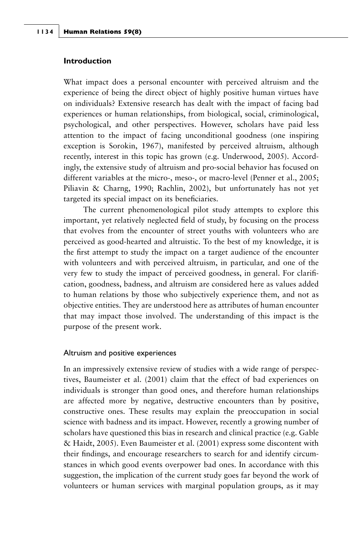# **Introduction**

What impact does a personal encounter with perceived altruism and the experience of being the direct object of highly positive human virtues have on individuals? Extensive research has dealt with the impact of facing bad experiences or human relationships, from biological, social, criminological, psychological, and other perspectives. However, scholars have paid less attention to the impact of facing unconditional goodness (one inspiring exception is Sorokin, 1967), manifested by perceived altruism, although recently, interest in this topic has grown (e.g. Underwood, 2005). Accordingly, the extensive study of altruism and pro-social behavior has focused on different variables at the micro-, meso-, or macro-level (Penner et al., 2005; Piliavin & Charng, 1990; Rachlin, 2002), but unfortunately has not yet targeted its special impact on its beneficiaries.

The current phenomenological pilot study attempts to explore this important, yet relatively neglected field of study, by focusing on the process that evolves from the encounter of street youths with volunteers who are perceived as good-hearted and altruistic. To the best of my knowledge, it is the first attempt to study the impact on a target audience of the encounter with volunteers and with perceived altruism, in particular, and one of the very few to study the impact of perceived goodness, in general. For clarification, goodness, badness, and altruism are considered here as values added to human relations by those who subjectively experience them, and not as objective entities. They are understood here as attributes of human encounter that may impact those involved. The understanding of this impact is the purpose of the present work.

### Altruism and positive experiences

In an impressively extensive review of studies with a wide range of perspectives, Baumeister et al. (2001) claim that the effect of bad experiences on individuals is stronger than good ones, and therefore human relationships are affected more by negative, destructive encounters than by positive, constructive ones. These results may explain the preoccupation in social science with badness and its impact. However, recently a growing number of scholars have questioned this bias in research and clinical practice (e.g. Gable & Haidt, 2005). Even Baumeister et al. (2001) express some discontent with their findings, and encourage researchers to search for and identify circumstances in which good events overpower bad ones. In accordance with this suggestion, the implication of the current study goes far beyond the work of volunteers or human services with marginal population groups, as it may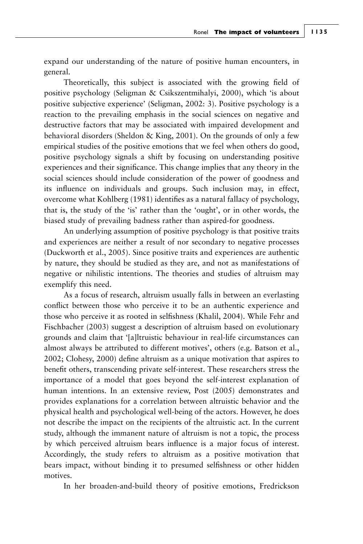expand our understanding of the nature of positive human encounters, in general.

Theoretically, this subject is associated with the growing field of positive psychology (Seligman & Csikszentmihalyi, 2000), which 'is about positive subjective experience' (Seligman, 2002: 3). Positive psychology is a reaction to the prevailing emphasis in the social sciences on negative and destructive factors that may be associated with impaired development and behavioral disorders (Sheldon & King, 2001). On the grounds of only a few empirical studies of the positive emotions that we feel when others do good, positive psychology signals a shift by focusing on understanding positive experiences and their significance. This change implies that any theory in the social sciences should include consideration of the power of goodness and its influence on individuals and groups. Such inclusion may, in effect, overcome what Kohlberg (1981) identifies as a natural fallacy of psychology, that is, the study of the 'is' rather than the 'ought', or in other words, the biased study of prevailing badness rather than aspired-for goodness.

An underlying assumption of positive psychology is that positive traits and experiences are neither a result of nor secondary to negative processes (Duckworth et al., 2005). Since positive traits and experiences are authentic by nature, they should be studied as they are, and not as manifestations of negative or nihilistic intentions. The theories and studies of altruism may exemplify this need.

As a focus of research, altruism usually falls in between an everlasting conflict between those who perceive it to be an authentic experience and those who perceive it as rooted in selfishness (Khalil, 2004). While Fehr and Fischbacher (2003) suggest a description of altruism based on evolutionary grounds and claim that '[a]ltruistic behaviour in real-life circumstances can almost always be attributed to different motives', others (e.g. Batson et al., 2002; Clohesy, 2000) define altruism as a unique motivation that aspires to benefit others, transcending private self-interest. These researchers stress the importance of a model that goes beyond the self-interest explanation of human intentions. In an extensive review, Post (2005) demonstrates and provides explanations for a correlation between altruistic behavior and the physical health and psychological well-being of the actors. However, he does not describe the impact on the recipients of the altruistic act. In the current study, although the immanent nature of altruism is not a topic, the process by which perceived altruism bears influence is a major focus of interest. Accordingly, the study refers to altruism as a positive motivation that bears impact, without binding it to presumed selfishness or other hidden motives.

In her broaden-and-build theory of positive emotions, Fredrickson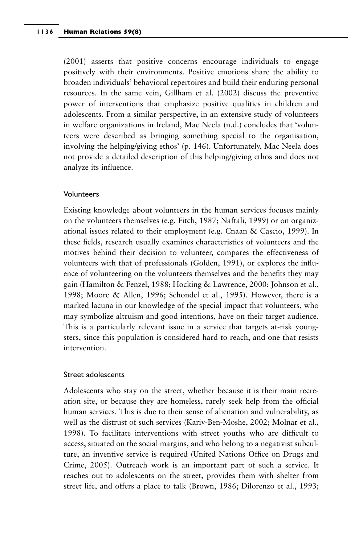(2001) asserts that positive concerns encourage individuals to engage positively with their environments. Positive emotions share the ability to broaden individuals' behavioral repertoires and build their enduring personal resources. In the same vein, Gillham et al. (2002) discuss the preventive power of interventions that emphasize positive qualities in children and adolescents. From a similar perspective, in an extensive study of volunteers in welfare organizations in Ireland, Mac Neela (n.d.) concludes that 'volunteers were described as bringing something special to the organisation, involving the helping/giving ethos' (p. 146). Unfortunately, Mac Neela does not provide a detailed description of this helping/giving ethos and does not analyze its influence.

# Volunteers

Existing knowledge about volunteers in the human services focuses mainly on the volunteers themselves (e.g. Fitch, 1987; Naftali, 1999) or on organizational issues related to their employment (e.g. Cnaan & Cascio, 1999). In these fields, research usually examines characteristics of volunteers and the motives behind their decision to volunteer, compares the effectiveness of volunteers with that of professionals (Golden, 1991), or explores the influence of volunteering on the volunteers themselves and the benefits they may gain (Hamilton & Fenzel, 1988; Hocking & Lawrence, 2000; Johnson et al., 1998; Moore & Allen, 1996; Schondel et al., 1995). However, there is a marked lacuna in our knowledge of the special impact that volunteers, who may symbolize altruism and good intentions, have on their target audience. This is a particularly relevant issue in a service that targets at-risk youngsters, since this population is considered hard to reach, and one that resists intervention.

# Street adolescents

Adolescents who stay on the street, whether because it is their main recreation site, or because they are homeless, rarely seek help from the official human services. This is due to their sense of alienation and vulnerability, as well as the distrust of such services (Kariv-Ben-Moshe, 2002; Molnar et al., 1998). To facilitate interventions with street youths who are difficult to access, situated on the social margins, and who belong to a negativist subculture, an inventive service is required (United Nations Office on Drugs and Crime, 2005). Outreach work is an important part of such a service. It reaches out to adolescents on the street, provides them with shelter from street life, and offers a place to talk (Brown, 1986; Dilorenzo et al., 1993;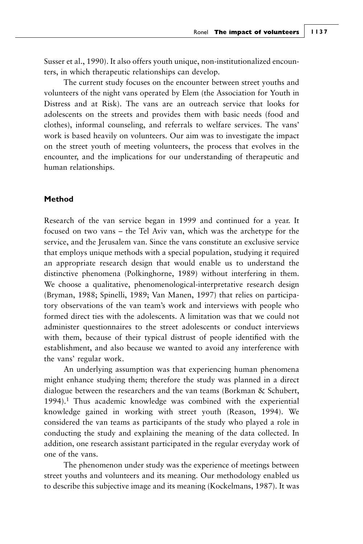Susser et al., 1990). It also offers youth unique, non-institutionalized encounters, in which therapeutic relationships can develop.

The current study focuses on the encounter between street youths and volunteers of the night vans operated by Elem (the Association for Youth in Distress and at Risk). The vans are an outreach service that looks for adolescents on the streets and provides them with basic needs (food and clothes), informal counseling, and referrals to welfare services. The vans' work is based heavily on volunteers. Our aim was to investigate the impact on the street youth of meeting volunteers, the process that evolves in the encounter, and the implications for our understanding of therapeutic and human relationships.

# **Method**

Research of the van service began in 1999 and continued for a year. It focused on two vans – the Tel Aviv van, which was the archetype for the service, and the Jerusalem van. Since the vans constitute an exclusive service that employs unique methods with a special population, studying it required an appropriate research design that would enable us to understand the distinctive phenomena (Polkinghorne, 1989) without interfering in them. We choose a qualitative, phenomenological-interpretative research design (Bryman, 1988; Spinelli, 1989; Van Manen, 1997) that relies on participatory observations of the van team's work and interviews with people who formed direct ties with the adolescents. A limitation was that we could not administer questionnaires to the street adolescents or conduct interviews with them, because of their typical distrust of people identified with the establishment, and also because we wanted to avoid any interference with the vans' regular work.

An underlying assumption was that experiencing human phenomena might enhance studying them; therefore the study was planned in a direct dialogue between the researchers and the van teams (Borkman & Schubert, 1994).1 Thus academic knowledge was combined with the experiential knowledge gained in working with street youth (Reason, 1994). We considered the van teams as participants of the study who played a role in conducting the study and explaining the meaning of the data collected. In addition, one research assistant participated in the regular everyday work of one of the vans.

The phenomenon under study was the experience of meetings between street youths and volunteers and its meaning. Our methodology enabled us to describe this subjective image and its meaning (Kockelmans, 1987). It was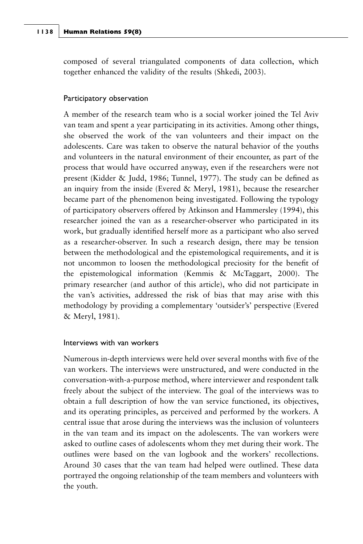composed of several triangulated components of data collection, which together enhanced the validity of the results (Shkedi, 2003).

# Participatory observation

A member of the research team who is a social worker joined the Tel Aviv van team and spent a year participating in its activities. Among other things, she observed the work of the van volunteers and their impact on the adolescents. Care was taken to observe the natural behavior of the youths and volunteers in the natural environment of their encounter, as part of the process that would have occurred anyway, even if the researchers were not present (Kidder & Judd, 1986; Tunnel, 1977). The study can be defined as an inquiry from the inside (Evered & Meryl, 1981), because the researcher became part of the phenomenon being investigated. Following the typology of participatory observers offered by Atkinson and Hammersley (1994), this researcher joined the van as a researcher-observer who participated in its work, but gradually identified herself more as a participant who also served as a researcher-observer. In such a research design, there may be tension between the methodological and the epistemological requirements, and it is not uncommon to loosen the methodological preciosity for the benefit of the epistemological information (Kemmis & McTaggart, 2000). The primary researcher (and author of this article), who did not participate in the van's activities, addressed the risk of bias that may arise with this methodology by providing a complementary 'outsider's' perspective (Evered & Meryl, 1981).

### Interviews with van workers

Numerous in-depth interviews were held over several months with five of the van workers. The interviews were unstructured, and were conducted in the conversation-with-a-purpose method, where interviewer and respondent talk freely about the subject of the interview. The goal of the interviews was to obtain a full description of how the van service functioned, its objectives, and its operating principles, as perceived and performed by the workers. A central issue that arose during the interviews was the inclusion of volunteers in the van team and its impact on the adolescents. The van workers were asked to outline cases of adolescents whom they met during their work. The outlines were based on the van logbook and the workers' recollections. Around 30 cases that the van team had helped were outlined. These data portrayed the ongoing relationship of the team members and volunteers with the youth.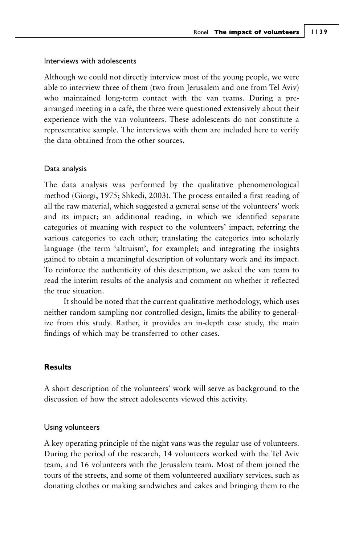# Interviews with adolescents

Although we could not directly interview most of the young people, we were able to interview three of them (two from Jerusalem and one from Tel Aviv) who maintained long-term contact with the van teams. During a prearranged meeting in a café, the three were questioned extensively about their experience with the van volunteers. These adolescents do not constitute a representative sample. The interviews with them are included here to verify the data obtained from the other sources.

#### Data analysis

The data analysis was performed by the qualitative phenomenological method (Giorgi, 1975; Shkedi, 2003). The process entailed a first reading of all the raw material, which suggested a general sense of the volunteers' work and its impact; an additional reading, in which we identified separate categories of meaning with respect to the volunteers' impact; referring the various categories to each other; translating the categories into scholarly language (the term 'altruism', for example); and integrating the insights gained to obtain a meaningful description of voluntary work and its impact. To reinforce the authenticity of this description, we asked the van team to read the interim results of the analysis and comment on whether it reflected the true situation.

It should be noted that the current qualitative methodology, which uses neither random sampling nor controlled design, limits the ability to generalize from this study. Rather, it provides an in-depth case study, the main findings of which may be transferred to other cases.

# **Results**

A short description of the volunteers' work will serve as background to the discussion of how the street adolescents viewed this activity.

#### Using volunteers

A key operating principle of the night vans was the regular use of volunteers. During the period of the research, 14 volunteers worked with the Tel Aviv team, and 16 volunteers with the Jerusalem team. Most of them joined the tours of the streets, and some of them volunteered auxiliary services, such as donating clothes or making sandwiches and cakes and bringing them to the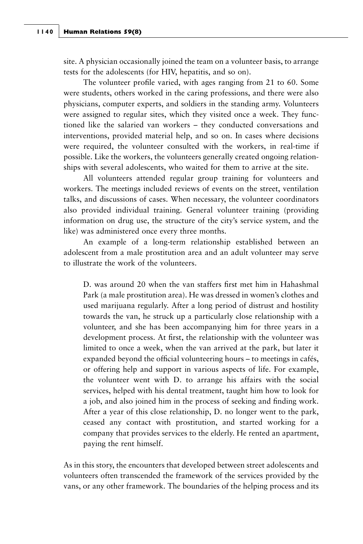site. A physician occasionally joined the team on a volunteer basis, to arrange tests for the adolescents (for HIV, hepatitis, and so on).

The volunteer profile varied, with ages ranging from 21 to 60. Some were students, others worked in the caring professions, and there were also physicians, computer experts, and soldiers in the standing army. Volunteers were assigned to regular sites, which they visited once a week. They functioned like the salaried van workers – they conducted conversations and interventions, provided material help, and so on. In cases where decisions were required, the volunteer consulted with the workers, in real-time if possible. Like the workers, the volunteers generally created ongoing relationships with several adolescents, who waited for them to arrive at the site.

All volunteers attended regular group training for volunteers and workers. The meetings included reviews of events on the street, ventilation talks, and discussions of cases. When necessary, the volunteer coordinators also provided individual training. General volunteer training (providing information on drug use, the structure of the city's service system, and the like) was administered once every three months.

An example of a long-term relationship established between an adolescent from a male prostitution area and an adult volunteer may serve to illustrate the work of the volunteers.

D. was around 20 when the van staffers first met him in Hahashmal Park (a male prostitution area). He was dressed in women's clothes and used marijuana regularly. After a long period of distrust and hostility towards the van, he struck up a particularly close relationship with a volunteer, and she has been accompanying him for three years in a development process. At first, the relationship with the volunteer was limited to once a week, when the van arrived at the park, but later it expanded beyond the official volunteering hours – to meetings in cafés, or offering help and support in various aspects of life. For example, the volunteer went with D. to arrange his affairs with the social services, helped with his dental treatment, taught him how to look for a job, and also joined him in the process of seeking and finding work. After a year of this close relationship, D. no longer went to the park, ceased any contact with prostitution, and started working for a company that provides services to the elderly. He rented an apartment, paying the rent himself.

As in this story, the encounters that developed between street adolescents and volunteers often transcended the framework of the services provided by the vans, or any other framework. The boundaries of the helping process and its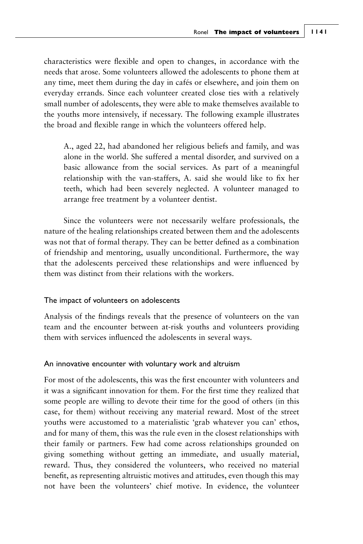characteristics were flexible and open to changes, in accordance with the needs that arose. Some volunteers allowed the adolescents to phone them at any time, meet them during the day in cafés or elsewhere, and join them on everyday errands. Since each volunteer created close ties with a relatively small number of adolescents, they were able to make themselves available to the youths more intensively, if necessary. The following example illustrates the broad and flexible range in which the volunteers offered help.

A., aged 22, had abandoned her religious beliefs and family, and was alone in the world. She suffered a mental disorder, and survived on a basic allowance from the social services. As part of a meaningful relationship with the van-staffers, A. said she would like to fix her teeth, which had been severely neglected. A volunteer managed to arrange free treatment by a volunteer dentist.

Since the volunteers were not necessarily welfare professionals, the nature of the healing relationships created between them and the adolescents was not that of formal therapy. They can be better defined as a combination of friendship and mentoring, usually unconditional. Furthermore, the way that the adolescents perceived these relationships and were influenced by them was distinct from their relations with the workers.

### The impact of volunteers on adolescents

Analysis of the findings reveals that the presence of volunteers on the van team and the encounter between at-risk youths and volunteers providing them with services influenced the adolescents in several ways.

#### An innovative encounter with voluntary work and altruism

For most of the adolescents, this was the first encounter with volunteers and it was a significant innovation for them. For the first time they realized that some people are willing to devote their time for the good of others (in this case, for them) without receiving any material reward. Most of the street youths were accustomed to a materialistic 'grab whatever you can' ethos, and for many of them, this was the rule even in the closest relationships with their family or partners. Few had come across relationships grounded on giving something without getting an immediate, and usually material, reward. Thus, they considered the volunteers, who received no material benefit, as representing altruistic motives and attitudes, even though this may not have been the volunteers' chief motive. In evidence, the volunteer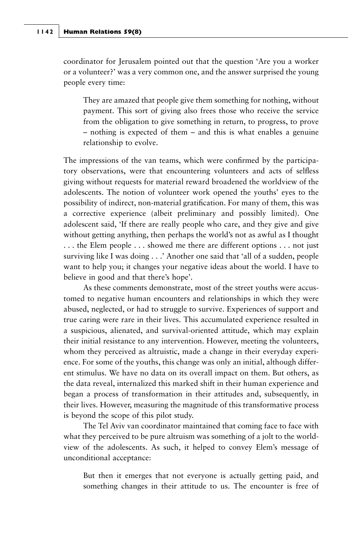coordinator for Jerusalem pointed out that the question 'Are you a worker or a volunteer?' was a very common one, and the answer surprised the young people every time:

They are amazed that people give them something for nothing, without payment. This sort of giving also frees those who receive the service from the obligation to give something in return, to progress, to prove – nothing is expected of them – and this is what enables a genuine relationship to evolve.

The impressions of the van teams, which were confirmed by the participatory observations, were that encountering volunteers and acts of selfless giving without requests for material reward broadened the worldview of the adolescents. The notion of volunteer work opened the youths' eyes to the possibility of indirect, non-material gratification. For many of them, this was a corrective experience (albeit preliminary and possibly limited). One adolescent said, 'If there are really people who care, and they give and give without getting anything, then perhaps the world's not as awful as I thought . . . the Elem people . . . showed me there are different options . . . not just surviving like I was doing . . .' Another one said that 'all of a sudden, people want to help you; it changes your negative ideas about the world. I have to believe in good and that there's hope'.

As these comments demonstrate, most of the street youths were accustomed to negative human encounters and relationships in which they were abused, neglected, or had to struggle to survive. Experiences of support and true caring were rare in their lives. This accumulated experience resulted in a suspicious, alienated, and survival-oriented attitude, which may explain their initial resistance to any intervention. However, meeting the volunteers, whom they perceived as altruistic, made a change in their everyday experience. For some of the youths, this change was only an initial, although different stimulus. We have no data on its overall impact on them. But others, as the data reveal, internalized this marked shift in their human experience and began a process of transformation in their attitudes and, subsequently, in their lives. However, measuring the magnitude of this transformative process is beyond the scope of this pilot study.

The Tel Aviv van coordinator maintained that coming face to face with what they perceived to be pure altruism was something of a jolt to the worldview of the adolescents. As such, it helped to convey Elem's message of unconditional acceptance:

But then it emerges that not everyone is actually getting paid, and something changes in their attitude to us. The encounter is free of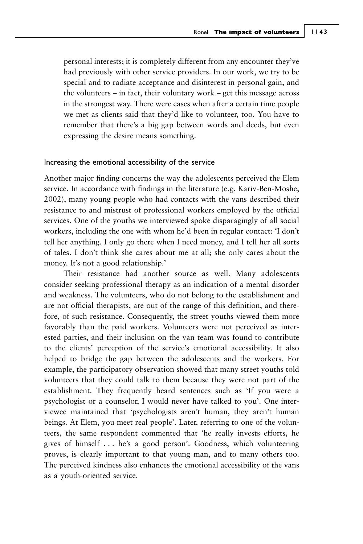personal interests; it is completely different from any encounter they've had previously with other service providers. In our work, we try to be special and to radiate acceptance and disinterest in personal gain, and the volunteers – in fact, their voluntary work – get this message across in the strongest way. There were cases when after a certain time people we met as clients said that they'd like to volunteer, too. You have to remember that there's a big gap between words and deeds, but even expressing the desire means something.

#### Increasing the emotional accessibility of the service

Another major finding concerns the way the adolescents perceived the Elem service. In accordance with findings in the literature (e.g. Kariv-Ben-Moshe, 2002), many young people who had contacts with the vans described their resistance to and mistrust of professional workers employed by the official services. One of the youths we interviewed spoke disparagingly of all social workers, including the one with whom he'd been in regular contact: 'I don't tell her anything. I only go there when I need money, and I tell her all sorts of tales. I don't think she cares about me at all; she only cares about the money. It's not a good relationship.'

Their resistance had another source as well. Many adolescents consider seeking professional therapy as an indication of a mental disorder and weakness. The volunteers, who do not belong to the establishment and are not official therapists, are out of the range of this definition, and therefore, of such resistance. Consequently, the street youths viewed them more favorably than the paid workers. Volunteers were not perceived as interested parties, and their inclusion on the van team was found to contribute to the clients' perception of the service's emotional accessibility. It also helped to bridge the gap between the adolescents and the workers. For example, the participatory observation showed that many street youths told volunteers that they could talk to them because they were not part of the establishment. They frequently heard sentences such as 'If you were a psychologist or a counselor, I would never have talked to you'. One interviewee maintained that 'psychologists aren't human, they aren't human beings. At Elem, you meet real people'. Later, referring to one of the volunteers, the same respondent commented that 'he really invests efforts, he gives of himself . . . he's a good person'. Goodness, which volunteering proves, is clearly important to that young man, and to many others too. The perceived kindness also enhances the emotional accessibility of the vans as a youth-oriented service.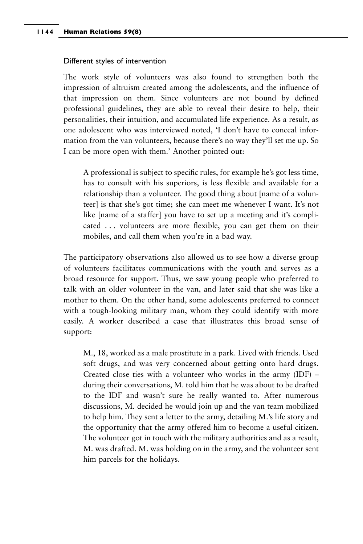#### Different styles of intervention

The work style of volunteers was also found to strengthen both the impression of altruism created among the adolescents, and the influence of that impression on them. Since volunteers are not bound by defined professional guidelines, they are able to reveal their desire to help, their personalities, their intuition, and accumulated life experience. As a result, as one adolescent who was interviewed noted, 'I don't have to conceal information from the van volunteers, because there's no way they'll set me up. So I can be more open with them.' Another pointed out:

A professional is subject to specific rules, for example he's got less time, has to consult with his superiors, is less flexible and available for a relationship than a volunteer. The good thing about [name of a volunteer] is that she's got time; she can meet me whenever I want. It's not like [name of a staffer] you have to set up a meeting and it's complicated . . . volunteers are more flexible, you can get them on their mobiles, and call them when you're in a bad way.

The participatory observations also allowed us to see how a diverse group of volunteers facilitates communications with the youth and serves as a broad resource for support. Thus, we saw young people who preferred to talk with an older volunteer in the van, and later said that she was like a mother to them. On the other hand, some adolescents preferred to connect with a tough-looking military man, whom they could identify with more easily. A worker described a case that illustrates this broad sense of support:

M., 18, worked as a male prostitute in a park. Lived with friends. Used soft drugs, and was very concerned about getting onto hard drugs. Created close ties with a volunteer who works in the army (IDF) – during their conversations, M. told him that he was about to be drafted to the IDF and wasn't sure he really wanted to. After numerous discussions, M. decided he would join up and the van team mobilized to help him. They sent a letter to the army, detailing M.'s life story and the opportunity that the army offered him to become a useful citizen. The volunteer got in touch with the military authorities and as a result, M. was drafted. M. was holding on in the army, and the volunteer sent him parcels for the holidays.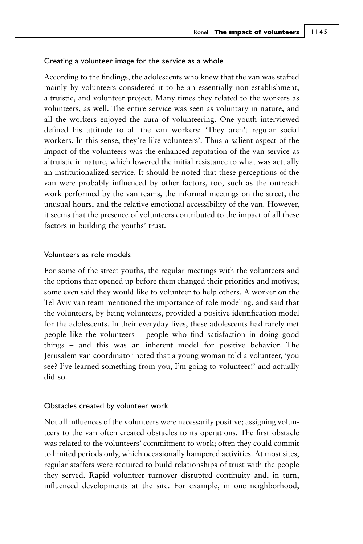### Creating a volunteer image for the service as a whole

According to the findings, the adolescents who knew that the van was staffed mainly by volunteers considered it to be an essentially non-establishment, altruistic, and volunteer project. Many times they related to the workers as volunteers, as well. The entire service was seen as voluntary in nature, and all the workers enjoyed the aura of volunteering. One youth interviewed defined his attitude to all the van workers: 'They aren't regular social workers. In this sense, they're like volunteers'. Thus a salient aspect of the impact of the volunteers was the enhanced reputation of the van service as altruistic in nature, which lowered the initial resistance to what was actually an institutionalized service. It should be noted that these perceptions of the van were probably influenced by other factors, too, such as the outreach work performed by the van teams, the informal meetings on the street, the unusual hours, and the relative emotional accessibility of the van. However, it seems that the presence of volunteers contributed to the impact of all these factors in building the youths' trust.

#### Volunteers as role models

For some of the street youths, the regular meetings with the volunteers and the options that opened up before them changed their priorities and motives; some even said they would like to volunteer to help others. A worker on the Tel Aviv van team mentioned the importance of role modeling, and said that the volunteers, by being volunteers, provided a positive identification model for the adolescents. In their everyday lives, these adolescents had rarely met people like the volunteers – people who find satisfaction in doing good things – and this was an inherent model for positive behavior. The Jerusalem van coordinator noted that a young woman told a volunteer, 'you see? I've learned something from you, I'm going to volunteer!' and actually did so.

#### Obstacles created by volunteer work

Not all influences of the volunteers were necessarily positive; assigning volunteers to the van often created obstacles to its operations. The first obstacle was related to the volunteers' commitment to work; often they could commit to limited periods only, which occasionally hampered activities. At most sites, regular staffers were required to build relationships of trust with the people they served. Rapid volunteer turnover disrupted continuity and, in turn, influenced developments at the site. For example, in one neighborhood,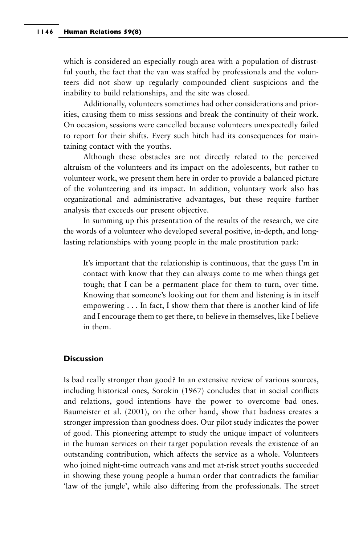which is considered an especially rough area with a population of distrustful youth, the fact that the van was staffed by professionals and the volunteers did not show up regularly compounded client suspicions and the inability to build relationships, and the site was closed.

Additionally, volunteers sometimes had other considerations and priorities, causing them to miss sessions and break the continuity of their work. On occasion, sessions were cancelled because volunteers unexpectedly failed to report for their shifts. Every such hitch had its consequences for maintaining contact with the youths.

Although these obstacles are not directly related to the perceived altruism of the volunteers and its impact on the adolescents, but rather to volunteer work, we present them here in order to provide a balanced picture of the volunteering and its impact. In addition, voluntary work also has organizational and administrative advantages, but these require further analysis that exceeds our present objective.

In summing up this presentation of the results of the research, we cite the words of a volunteer who developed several positive, in-depth, and longlasting relationships with young people in the male prostitution park:

It's important that the relationship is continuous, that the guys I'm in contact with know that they can always come to me when things get tough; that I can be a permanent place for them to turn, over time. Knowing that someone's looking out for them and listening is in itself empowering . . . In fact, I show them that there is another kind of life and I encourage them to get there, to believe in themselves, like I believe in them.

# **Discussion**

Is bad really stronger than good? In an extensive review of various sources, including historical ones, Sorokin (1967) concludes that in social conflicts and relations, good intentions have the power to overcome bad ones. Baumeister et al. (2001), on the other hand, show that badness creates a stronger impression than goodness does. Our pilot study indicates the power of good. This pioneering attempt to study the unique impact of volunteers in the human services on their target population reveals the existence of an outstanding contribution, which affects the service as a whole. Volunteers who joined night-time outreach vans and met at-risk street youths succeeded in showing these young people a human order that contradicts the familiar 'law of the jungle', while also differing from the professionals. The street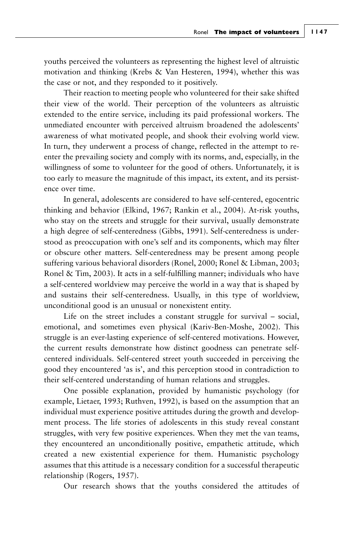youths perceived the volunteers as representing the highest level of altruistic motivation and thinking (Krebs & Van Hesteren, 1994), whether this was the case or not, and they responded to it positively.

Their reaction to meeting people who volunteered for their sake shifted their view of the world. Their perception of the volunteers as altruistic extended to the entire service, including its paid professional workers. The unmediated encounter with perceived altruism broadened the adolescents' awareness of what motivated people, and shook their evolving world view. In turn, they underwent a process of change, reflected in the attempt to reenter the prevailing society and comply with its norms, and, especially, in the willingness of some to volunteer for the good of others. Unfortunately, it is too early to measure the magnitude of this impact, its extent, and its persistence over time.

In general, adolescents are considered to have self-centered, egocentric thinking and behavior (Elkind, 1967; Rankin et al., 2004). At-risk youths, who stay on the streets and struggle for their survival, usually demonstrate a high degree of self-centeredness (Gibbs, 1991). Self-centeredness is understood as preoccupation with one's self and its components, which may filter or obscure other matters. Self-centeredness may be present among people suffering various behavioral disorders (Ronel, 2000; Ronel & Libman, 2003; Ronel & Tim, 2003). It acts in a self-fulfilling manner; individuals who have a self-centered worldview may perceive the world in a way that is shaped by and sustains their self-centeredness. Usually, in this type of worldview, unconditional good is an unusual or nonexistent entity.

Life on the street includes a constant struggle for survival – social, emotional, and sometimes even physical (Kariv-Ben-Moshe, 2002). This struggle is an ever-lasting experience of self-centered motivations. However, the current results demonstrate how distinct goodness can penetrate selfcentered individuals. Self-centered street youth succeeded in perceiving the good they encountered 'as is', and this perception stood in contradiction to their self-centered understanding of human relations and struggles.

One possible explanation, provided by humanistic psychology (for example, Lietaer, 1993; Ruthven, 1992), is based on the assumption that an individual must experience positive attitudes during the growth and development process. The life stories of adolescents in this study reveal constant struggles, with very few positive experiences. When they met the van teams, they encountered an unconditionally positive, empathetic attitude, which created a new existential experience for them. Humanistic psychology assumes that this attitude is a necessary condition for a successful therapeutic relationship (Rogers, 1957).

Our research shows that the youths considered the attitudes of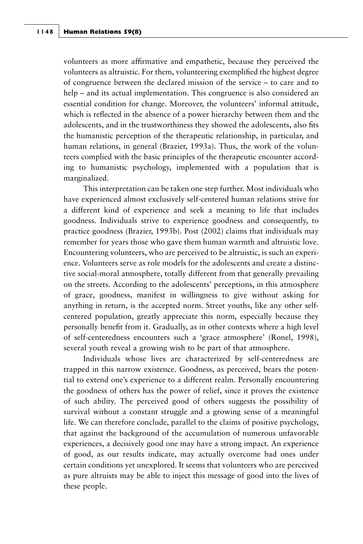volunteers as more affirmative and empathetic, because they perceived the volunteers as altruistic. For them, volunteering exemplified the highest degree of congruence between the declared mission of the service – to care and to help – and its actual implementation. This congruence is also considered an essential condition for change. Moreover, the volunteers' informal attitude, which is reflected in the absence of a power hierarchy between them and the adolescents, and in the trustworthiness they showed the adolescents, also fits the humanistic perception of the therapeutic relationship, in particular, and human relations, in general (Brazier, 1993a). Thus, the work of the volunteers complied with the basic principles of the therapeutic encounter according to humanistic psychology, implemented with a population that is marginalized.

This interpretation can be taken one step further. Most individuals who have experienced almost exclusively self-centered human relations strive for a different kind of experience and seek a meaning to life that includes goodness. Individuals strive to experience goodness and consequently, to practice goodness (Brazier, 1993b). Post (2002) claims that individuals may remember for years those who gave them human warmth and altruistic love. Encountering volunteers, who are perceived to be altruistic, is such an experience. Volunteers serve as role models for the adolescents and create a distinctive social-moral atmosphere, totally different from that generally prevailing on the streets. According to the adolescents' perceptions, in this atmosphere of grace, goodness, manifest in willingness to give without asking for anything in return, is the accepted norm. Street youths, like any other selfcentered population, greatly appreciate this norm, especially because they personally benefit from it. Gradually, as in other contexts where a high level of self-centeredness encounters such a 'grace atmosphere' (Ronel, 1998), several youth reveal a growing wish to be part of that atmosphere.

Individuals whose lives are characterized by self-centeredness are trapped in this narrow existence. Goodness, as perceived, bears the potential to extend one's experience to a different realm. Personally encountering the goodness of others has the power of relief, since it proves the existence of such ability. The perceived good of others suggests the possibility of survival without a constant struggle and a growing sense of a meaningful life. We can therefore conclude, parallel to the claims of positive psychology, that against the background of the accumulation of numerous unfavorable experiences, a decisively good one may have a strong impact. An experience of good, as our results indicate, may actually overcome bad ones under certain conditions yet unexplored. It seems that volunteers who are perceived as pure altruists may be able to inject this message of good into the lives of these people.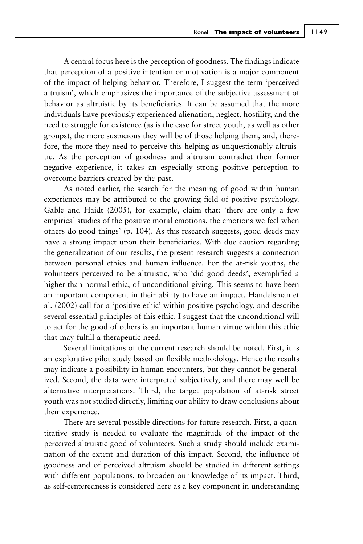A central focus here is the perception of goodness. The findings indicate that perception of a positive intention or motivation is a major component of the impact of helping behavior. Therefore, I suggest the term 'perceived altruism', which emphasizes the importance of the subjective assessment of behavior as altruistic by its beneficiaries. It can be assumed that the more individuals have previously experienced alienation, neglect, hostility, and the need to struggle for existence (as is the case for street youth, as well as other groups), the more suspicious they will be of those helping them, and, therefore, the more they need to perceive this helping as unquestionably altruistic. As the perception of goodness and altruism contradict their former negative experience, it takes an especially strong positive perception to overcome barriers created by the past.

As noted earlier, the search for the meaning of good within human experiences may be attributed to the growing field of positive psychology. Gable and Haidt (2005), for example, claim that: 'there are only a few empirical studies of the positive moral emotions, the emotions we feel when others do good things' (p. 104). As this research suggests, good deeds may have a strong impact upon their beneficiaries. With due caution regarding the generalization of our results, the present research suggests a connection between personal ethics and human influence. For the at-risk youths, the volunteers perceived to be altruistic, who 'did good deeds', exemplified a higher-than-normal ethic, of unconditional giving. This seems to have been an important component in their ability to have an impact. Handelsman et al. (2002) call for a 'positive ethic' within positive psychology, and describe several essential principles of this ethic. I suggest that the unconditional will to act for the good of others is an important human virtue within this ethic that may fulfill a therapeutic need.

Several limitations of the current research should be noted. First, it is an explorative pilot study based on flexible methodology. Hence the results may indicate a possibility in human encounters, but they cannot be generalized. Second, the data were interpreted subjectively, and there may well be alternative interpretations. Third, the target population of at-risk street youth was not studied directly, limiting our ability to draw conclusions about their experience.

There are several possible directions for future research. First, a quantitative study is needed to evaluate the magnitude of the impact of the perceived altruistic good of volunteers. Such a study should include examination of the extent and duration of this impact. Second, the influence of goodness and of perceived altruism should be studied in different settings with different populations, to broaden our knowledge of its impact. Third, as self-centeredness is considered here as a key component in understanding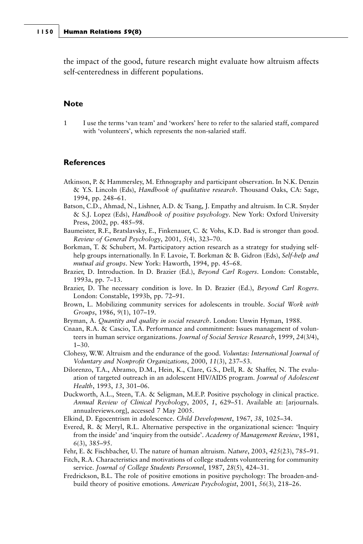the impact of the good, future research might evaluate how altruism affects self-centeredness in different populations.

# **Note**

1 I use the terms 'van team' and 'workers' here to refer to the salaried staff, compared with 'volunteers', which represents the non-salaried staff.

#### **References**

- Atkinson, P. & Hammersley, M. Ethnography and participant observation. In N.K. Denzin & Y.S. Lincoln (Eds), *Handbook of qualitative research*. Thousand Oaks, CA: Sage, 1994, pp. 248–61.
- Batson, C.D., Ahmad, N., Lishner, A.D. & Tsang, J. Empathy and altruism. In C.R. Snyder & S.J. Lopez (Eds), *Handbook of positive psychology*. New York: Oxford University Press, 2002, pp. 485–98.
- Baumeister, R.F., Bratslavsky, E., Finkenauer, C. & Vohs, K.D. Bad is stronger than good. *Review of General Psychology*, 2001, *5*(4), 323–70.
- Borkman, T. & Schubert, M. Participatory action research as a strategy for studying selfhelp groups internationally. In F. Lavoie, T. Borkman & B. Gidron (Eds), *Self-help and mutual aid groups*. New York: Haworth, 1994, pp. 45–68.
- Brazier, D. Introduction. In D. Brazier (Ed.), *Beyond Carl Rogers*. London: Constable, 1993a, pp. 7–13.
- Brazier, D. The necessary condition is love. In D. Brazier (Ed.), *Beyond Carl Rogers*. London: Constable, 1993b, pp. 72–91.
- Brown, L. Mobilizing community services for adolescents in trouble. *Social Work with Groups*, 1986, *9*(1), 107–19.
- Bryman, A. *Quantity and quality in social research*. London: Unwin Hyman, 1988.
- Cnaan, R.A. & Cascio, T.A. Performance and commitment: Issues management of volunteers in human service organizations. *Journal of Social Service Research*, 1999, *24*(3/4),  $1 - 30.$
- Clohesy, W.W. Altruism and the endurance of the good. *Voluntas: International Journal of Voluntary and Nonprofit Organizations*, 2000, *11*(3), 237–53.
- Dilorenzo, T.A., Abramo, D.M., Hein, K., Clare, G.S., Dell, R. & Shaffer, N. The evaluation of targeted outreach in an adolescent HIV/AIDS program. *Journal of Adolescent Health*, 1993, *13*, 301–06.
- Duckworth, A.L., Steen, T.A. & Seligman, M.E.P. Positive psychology in clinical practice. *Annual Review of Clinical Psychology*, 2005, *1*, 629–51. Available at: [arjournals. annualreviews.org], accessed 7 May 2005.
- Elkind, D. Egocentrism in adolescence. *Child Development*, 1967, *38*, 1025–34.
- Evered, R. & Meryl, R.L. Alternative perspective in the organizational science: 'Inquiry from the inside' and 'inquiry from the outside'. *Academy of Management Review*, 1981, *6*(3), 385–95.
- Fehr, E. & Fischbacher, U. The nature of human altruism. *Nature*, 2003, *425*(23), 785–91.
- Fitch, R.A. Characteristics and motivations of college students volunteering for community service. *Journal of College Students Personnel*, 1987, *28*(5), 424–31.
- Fredrickson, B.L. The role of positive emotions in positive psychology: The broaden-andbuild theory of positive emotions. *American Psychologist*, 2001, *56*(3), 218–26.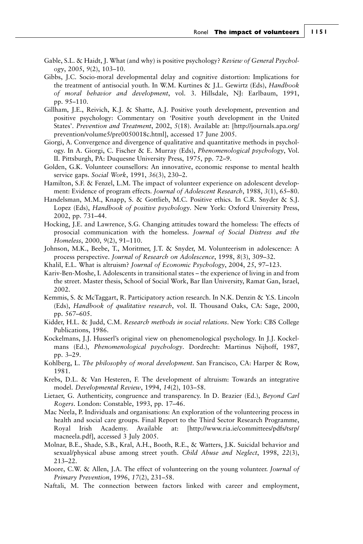- Gable, S.L. & Haidt, J. What (and why) is positive psychology? *Review of General Psychology*, 2005, *9*(2), 103–10.
- Gibbs, J.C. Socio-moral developmental delay and cognitive distortion: Implications for the treatment of antisocial youth. In W.M. Kurtines & J.L. Gewirtz (Eds), *Handbook of moral behavior and development*, vol. 3. Hillsdale, NJ: Earlbaum, 1991, pp. 95–110.
- Gillham, J.E., Reivich, K.J. & Shatte, A.J. Positive youth development, prevention and positive psychology: Commentary on 'Positive youth development in the United States'. *Prevention and Treatment*, 2002, *5*(18). Available at: [http://journals.apa.org/ prevention/volume5/pre0050018c.html], accessed 17 June 2005.
- Giorgi, A. Convergence and divergence of qualitative and quantitative methods in psychology. In A. Giorgi, C. Fischer & E. Murray (Eds), *Phenomenological psychology*, Vol. II. Pittsburgh, PA: Duquesne University Press, 1975, pp. 72–9.
- Golden, G.K. Volunteer counsellors: An innovative, economic response to mental health service gaps. *Social Work*, 1991, *36*(3), 230–2.
- Hamilton, S.F. & Fenzel, L.M. The impact of volunteer experience on adolescent development: Evidence of program effects. *Journal of Adolescent Research*, 1988, *3*(1), 65–80.
- Handelsman, M.M., Knapp, S. & Gottlieb, M.C. Positive ethics. In C.R. Snyder & S.J. Lopez (Eds), *Handbook of positive psychology*. New York: Oxford University Press, 2002, pp. 731–44.
- Hocking, J.E. and Lawrence, S.G. Changing attitudes toward the homeless: The effects of prosocial communication with the homeless. *Journal of Social Distress and the Homeless*, 2000, *9*(2), 91–110.
- Johnson, M.K., Beebe, T., Moritmer, J.T. & Snyder, M. Volunteerism in adolescence: A process perspective. *Journal of Research on Adolescence*, 1998, *8*(3), 309–32.
- Khalil, E.L. What is altruism? *Journal of Economic Psychology*, 2004, *25*, 97–123.
- Kariv-Ben-Moshe, I. Adolescents in transitional states the experience of living in and from the street. Master thesis, School of Social Work, Bar Ilan University, Ramat Gan, Israel, 2002.
- Kemmis, S. & McTaggart, R. Participatory action research. In N.K. Denzin & Y.S. Lincoln (Eds), *Handbook of qualitative research*, vol. II. Thousand Oaks, CA: Sage, 2000, pp. 567–605.
- Kidder, H.L. & Judd, C.M. *Research methods in social relations*. New York: CBS College Publications, 1986.
- Kockelmans, J.J. Husserl's original view on phenomenological psychology. In J.J. Kockelmans (Ed.), *Phenomenological psychology*. Dordrecht: Martinus Nijhoff, 1987, pp. 3–29.
- Kohlberg, L. *The philosophy of moral development*. San Francisco, CA: Harper & Row, 1981.
- Krebs, D.L. & Van Hesteren, F. The development of altruism: Towards an integrative model. *Developmental Review*, 1994, *14*(2), 103–58.
- Lietaer, G. Authenticity, congruence and transparency. In D. Brazier (Ed.), *Beyond Carl Rogers*. London: Constable, 1993, pp. 17–46.
- Mac Neela, P. Individuals and organisations: An exploration of the volunteering process in health and social care groups. Final Report to the Third Sector Research Programme, Royal Irish Academy. Available at: [http://www.ria.ie/committees/pdfs/tsrp/ macneela.pdf], accessed 3 July 2005.
- Molnar, B.E., Shade, S.B., Kral, A.H., Booth, R.E., & Watters, J.K. Suicidal behavior and sexual/physical abuse among street youth. *Child Abuse and Neglect*, 1998, *22*(3), 213–22.
- Moore, C.W. & Allen, J.A. The effect of volunteering on the young volunteer. *Journal of Primary Prevention*, 1996, *17*(2), 231–58.
- Naftali, M. The connection between factors linked with career and employment,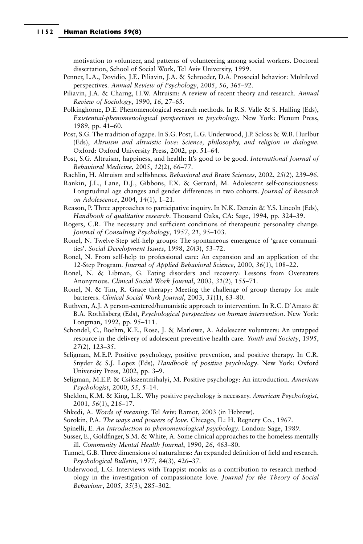motivation to volunteer, and patterns of volunteering among social workers. Doctoral dissertation, School of Social Work, Tel Aviv University, 1999.

- Penner, L.A., Dovidio, J.F., Piliavin, J.A. & Schroeder, D.A. Prosocial behavior: Multilevel perspectives. *Annual Review of Psychology*, 2005, *56*, 365–92.
- Piliavin, J.A. & Charng, H.W. Altruism: A review of recent theory and research. *Annual Review of Sociology*, 1990, *16*, 27–65.
- Polkinghorne, D.E. Phenomenological research methods. In R.S. Valle & S. Halling (Eds), *Existential-phenomenological perspectives in psychology*. New York: Plenum Press, 1989, pp. 41–60.
- Post, S.G. The tradition of agape. In S.G. Post, L.G. Underwood, J.P. Scloss & W.B. Hurlbut (Eds), *Altruism and altruistic love: Science, philosophy, and religion in dialogue*. Oxford: Oxford University Press, 2002, pp. 51–64.
- Post, S.G. Altruism, happiness, and health: It's good to be good. *International Journal of Behavioral Medicine*, 2005, *12*(2), 66–77.
- Rachlin, H. Altruism and selfishness. *Behavioral and Brain Sciences*, 2002, *25*(2), 239–96.
- Rankin, J.L., Lane, D.J., Gibbons, F.X. & Gerrard, M. Adolescent self-consciousness: Longitudinal age changes and gender differences in two cohorts. *Journal of Research on Adolescence*, 2004, *14*(1), 1–21.
- Reason, P. Three approaches to participative inquiry. In N.K. Denzin & Y.S. Lincoln (Eds), *Handbook of qualitative research*. Thousand Oaks, CA: Sage, 1994, pp. 324–39.
- Rogers, C.R. The necessary and sufficient conditions of therapeutic personality change. *Journal of Consulting Psychology*, 1957, *21*, 95–103.
- Ronel, N. Twelve-Step self-help groups: The spontaneous emergence of 'grace communities'. *Social Development Issues*, 1998, *20*(3), 53–72.
- Ronel, N. From self-help to professional care: An expansion and an application of the 12-Step Program. *Journal of Applied Behavioral Science*, 2000, *36*(1), 108–22.
- Ronel, N. & Libman, G. Eating disorders and recovery: Lessons from Overeaters Anonymous. *Clinical Social Work Journal*, 2003, *31*(2), 155–71.
- Ronel, N. & Tim, R. Grace therapy: Meeting the challenge of group therapy for male batterers. *Clinical Social Work Journal*, 2003, *31*(1), 63–80.
- Ruthven, A.J. A person-centered/humanistic approach to intervention. In R.C. D'Amato & B.A. Rothlisberg (Eds), *Psychological perspectives on human intervention*. New York: Longman, 1992, pp. 95–111.
- Schondel, C., Boehm, K.E., Rose, J. & Marlowe, A. Adolescent volunteers: An untapped resource in the delivery of adolescent preventive health care. *Youth and Society*, 1995, *27*(2), 123–35.
- Seligman, M.E.P. Positive psychology, positive prevention, and positive therapy. In C.R. Snyder & S.J. Lopez (Eds), *Handbook of positive psychology*. New York: Oxford University Press, 2002, pp. 3–9.
- Seligman, M.E.P. & Csikszentmihalyi, M. Positive psychology: An introduction. *American Psychologist*, 2000, *55*, 5–14.
- Sheldon, K.M. & King, L.K. Why positive psychology is necessary. *American Psychologist*, 2001, *56*(1), 216–17.
- Shkedi, A. *Words of meaning*. Tel Aviv: Ramot, 2003 (in Hebrew).
- Sorokin, P.A. *The ways and powers of love*. Chicago, IL: H. Regnery Co., 1967.
- Spinelli, E. *An Introduction to phenomenological psychology*. London: Sage, 1989.
- Susser, E., Goldfinger, S.M. & White, A. Some clinical approaches to the homeless mentally ill. *Community Mental Health Journal*, 1990, *26*, 463–80.
- Tunnel, G.B. Three dimensions of naturalness: An expanded definition of field and research. *Psychological Bulletin*, 1977, *84*(3), 426–37.
- Underwood, L.G. Interviews with Trappist monks as a contribution to research methodology in the investigation of compassionate love. *Journal for the Theory of Social Behaviour*, 2005, *35*(3), 285–302.